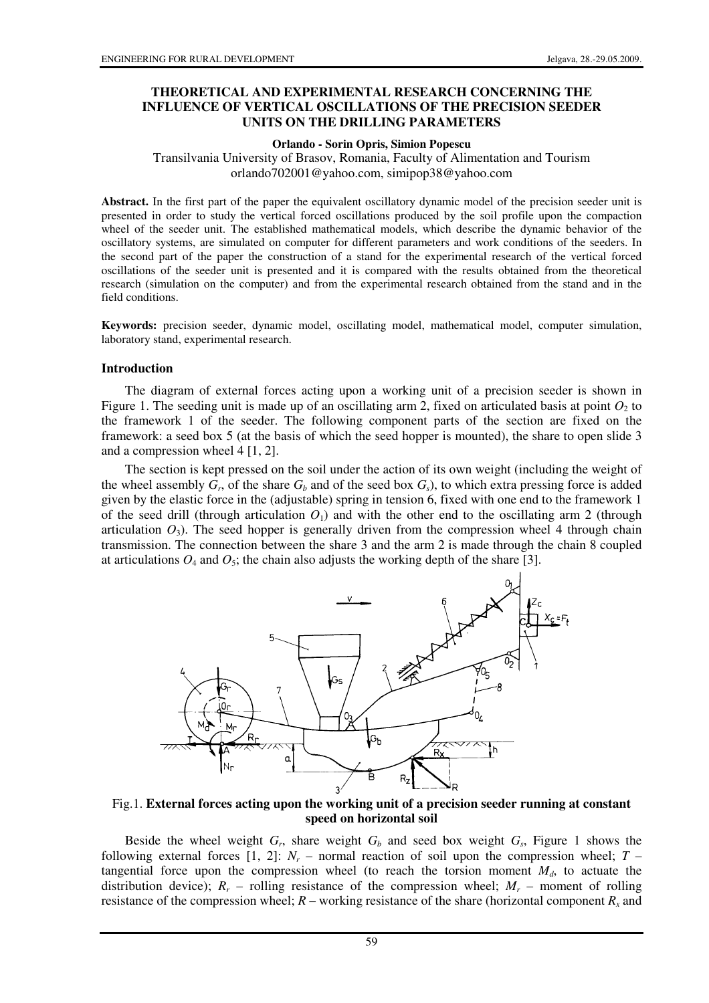#### **THEORETICAL AND EXPERIMENTAL RESEARCH CONCERNING THE INFLUENCE OF VERTICAL OSCILLATIONS OF THE PRECISION SEEDER UNITS ON THE DRILLING PARAMETERS**

#### **Orlando - Sorin Opris, Simion Popescu**

Transilvania University of Brasov, Romania, Faculty of Alimentation and Tourism orlando702001@yahoo.com, simipop38@yahoo.com

**Abstract.** In the first part of the paper the equivalent oscillatory dynamic model of the precision seeder unit is presented in order to study the vertical forced oscillations produced by the soil profile upon the compaction wheel of the seeder unit. The established mathematical models, which describe the dynamic behavior of the oscillatory systems, are simulated on computer for different parameters and work conditions of the seeders. In the second part of the paper the construction of a stand for the experimental research of the vertical forced oscillations of the seeder unit is presented and it is compared with the results obtained from the theoretical research (simulation on the computer) and from the experimental research obtained from the stand and in the field conditions.

**Keywords:** precision seeder, dynamic model, oscillating model, mathematical model, computer simulation, laboratory stand, experimental research.

#### **Introduction**

The diagram of external forces acting upon a working unit of a precision seeder is shown in Figure 1. The seeding unit is made up of an oscillating arm 2, fixed on articulated basis at point  $O_2$  to the framework 1 of the seeder. The following component parts of the section are fixed on the framework: a seed box 5 (at the basis of which the seed hopper is mounted), the share to open slide 3 and a compression wheel 4 [1, 2].

The section is kept pressed on the soil under the action of its own weight (including the weight of the wheel assembly  $G_r$ , of the share  $G_b$  and of the seed box  $G_s$ ), to which extra pressing force is added given by the elastic force in the (adjustable) spring in tension 6, fixed with one end to the framework 1 of the seed drill (through articulation  $O_1$ ) and with the other end to the oscillating arm 2 (through articulation  $O_3$ ). The seed hopper is generally driven from the compression wheel 4 through chain transmission. The connection between the share 3 and the arm 2 is made through the chain 8 coupled at articulations  $O_4$  and  $O_5$ ; the chain also adjusts the working depth of the share [3].



Fig.1. **External forces acting upon the working unit of a precision seeder running at constant speed on horizontal soil** 

Beside the wheel weight  $G_r$ , share weight  $G_b$  and seed box weight  $G_s$ , Figure 1 shows the following external forces [1, 2]:  $N_r$  – normal reaction of soil upon the compression wheel;  $T$ tangential force upon the compression wheel (to reach the torsion moment  $M_d$ , to actuate the distribution device);  $R_r$  – rolling resistance of the compression wheel;  $M_r$  – moment of rolling resistance of the compression wheel;  $R$  – working resistance of the share (horizontal component  $R_x$  and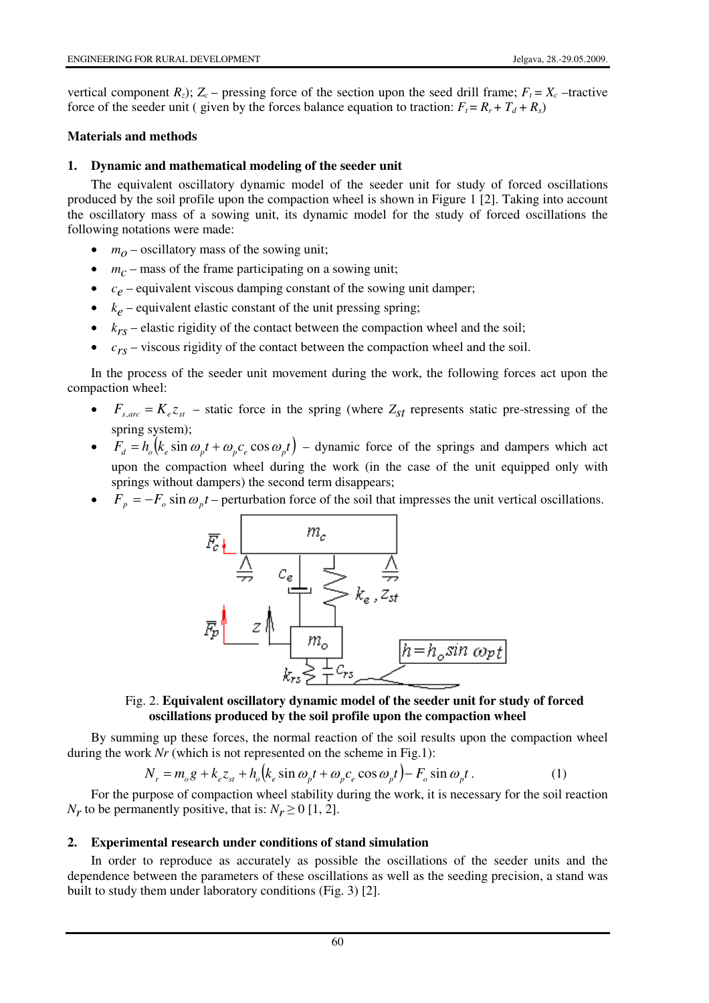vertical component  $R_z$ );  $Z_c$  – pressing force of the section upon the seed drill frame;  $F_t = X_c$  –tractive force of the seeder unit ( given by the forces balance equation to traction:  $F_t = R_r + T_d + R_x$ )

#### **Materials and methods**

## **1. Dynamic and mathematical modeling of the seeder unit**

The equivalent oscillatory dynamic model of the seeder unit for study of forced oscillations produced by the soil profile upon the compaction wheel is shown in Figure 1 [2]. Taking into account the oscillatory mass of a sowing unit, its dynamic model for the study of forced oscillations the following notations were made:

- $m<sub>O</sub>$  oscillatory mass of the sowing unit;
- $\bullet$   $m_c$  mass of the frame participating on a sowing unit;
- $c_e$  equivalent viscous damping constant of the sowing unit damper;
- $k_e$  equivalent elastic constant of the unit pressing spring;
- $\bullet$   $k_{rs}$  elastic rigidity of the contact between the compaction wheel and the soil;
- $\bullet$   $c_{rs}$  viscous rigidity of the contact between the compaction wheel and the soil.

In the process of the seeder unit movement during the work, the following forces act upon the compaction wheel:

- $F_{s,arc} = K_e z_{st}$  static force in the spring (where  $Z_{st}$  represents static pre-stressing of the spring system);
- $F_d = h_o(k_e \sin \omega_p t + \omega_p c_e \cos \omega_p t)$  dynamic force of the springs and dampers which act upon the compaction wheel during the work (in the case of the unit equipped only with springs without dampers) the second term disappears;
- $F_p = -F_o \sin \omega_p t$  perturbation force of the soil that impresses the unit vertical oscillations.



## Fig. 2. **Equivalent oscillatory dynamic model of the seeder unit for study of forced oscillations produced by the soil profile upon the compaction wheel**

By summing up these forces, the normal reaction of the soil results upon the compaction wheel during the work *Nr* (which is not represented on the scheme in Fig.1):

$$
N_r = m_o g + k_e z_{st} + h_o (k_e \sin \omega_p t + \omega_p c_e \cos \omega_p t) - F_o \sin \omega_p t. \tag{1}
$$

For the purpose of compaction wheel stability during the work, it is necessary for the soil reaction *N<sub>r</sub>* to be permanently positive, that is:  $N_r \ge 0$  [1, 2].

#### **2. Experimental research under conditions of stand simulation**

In order to reproduce as accurately as possible the oscillations of the seeder units and the dependence between the parameters of these oscillations as well as the seeding precision, a stand was built to study them under laboratory conditions (Fig. 3) [2].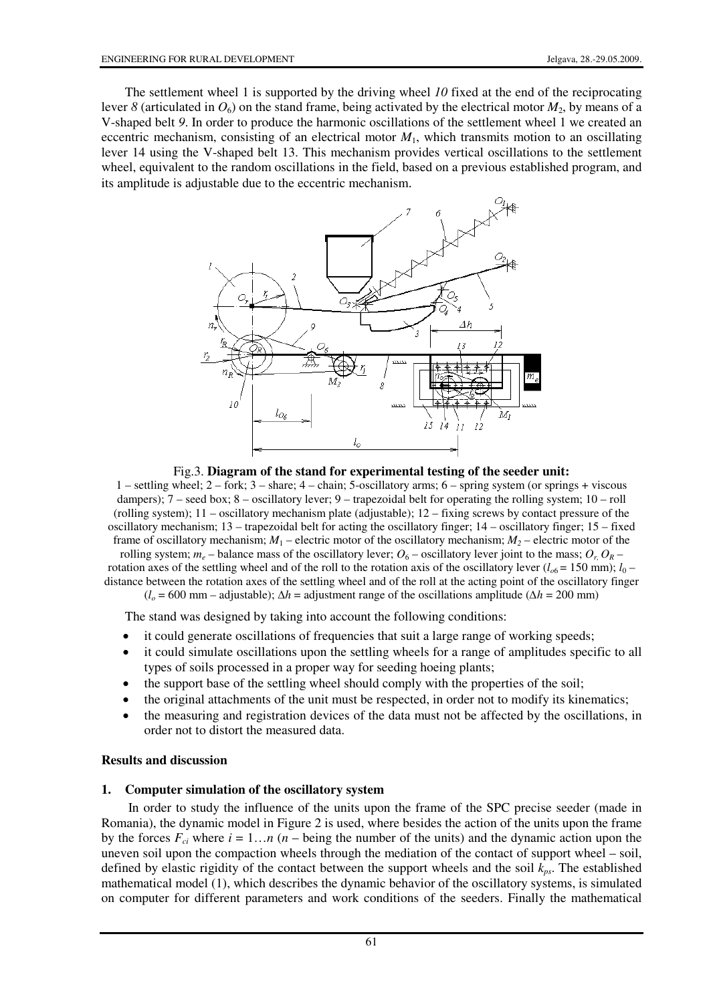The settlement wheel 1 is supported by the driving wheel *10* fixed at the end of the reciprocating lever *8* (articulated in  $O_6$ ) on the stand frame, being activated by the electrical motor  $M_2$ , by means of a V-shaped belt *9*. In order to produce the harmonic oscillations of the settlement wheel 1 we created an eccentric mechanism, consisting of an electrical motor  $M_1$ , which transmits motion to an oscillating lever 14 using the V-shaped belt 13. This mechanism provides vertical oscillations to the settlement wheel, equivalent to the random oscillations in the field, based on a previous established program, and its amplitude is adjustable due to the eccentric mechanism.



Fig.3. **Diagram of the stand for experimental testing of the seeder unit:** 

1 – settling wheel; 2 – fork; 3 – share; 4 – chain; 5-oscillatory arms; 6 – spring system (or springs + viscous dampers); 7 – seed box; 8 – oscillatory lever; 9 – trapezoidal belt for operating the rolling system; 10 – roll (rolling system); 11 – oscillatory mechanism plate (adjustable); 12 – fixing screws by contact pressure of the oscillatory mechanism; 13 – trapezoidal belt for acting the oscillatory finger; 14 – oscillatory finger; 15 – fixed frame of oscillatory mechanism;  $M_1$  – electric motor of the oscillatory mechanism;  $M_2$  – electric motor of the rolling system;  $m_e$  – balance mass of the oscillatory lever;  $O_6$  – oscillatory lever joint to the mass;  $O_r$ ,  $O_R$  – rotation axes of the settling wheel and of the roll to the rotation axis of the oscillatory lever  $(l_{0.6} = 150 \text{ mm})$ ;  $l_0$ distance between the rotation axes of the settling wheel and of the roll at the acting point of the oscillatory finger

 $(l_o = 600 \text{ mm} - \text{adjusted})$ ;  $\Delta h = \text{adjustment range of the oscillations amplitude } (\Delta h = 200 \text{ mm})$ 

The stand was designed by taking into account the following conditions:

- it could generate oscillations of frequencies that suit a large range of working speeds;
- it could simulate oscillations upon the settling wheels for a range of amplitudes specific to all types of soils processed in a proper way for seeding hoeing plants;
- the support base of the settling wheel should comply with the properties of the soil;
- the original attachments of the unit must be respected, in order not to modify its kinematics;
- the measuring and registration devices of the data must not be affected by the oscillations, in order not to distort the measured data.

#### **Results and discussion**

#### **1. Computer simulation of the oscillatory system**

 In order to study the influence of the units upon the frame of the SPC precise seeder (made in Romania), the dynamic model in Figure 2 is used, where besides the action of the units upon the frame by the forces  $F_{ci}$  where  $i = 1...n$  ( $n -$  being the number of the units) and the dynamic action upon the uneven soil upon the compaction wheels through the mediation of the contact of support wheel – soil, defined by elastic rigidity of the contact between the support wheels and the soil *kps*. The established mathematical model (1), which describes the dynamic behavior of the oscillatory systems, is simulated on computer for different parameters and work conditions of the seeders. Finally the mathematical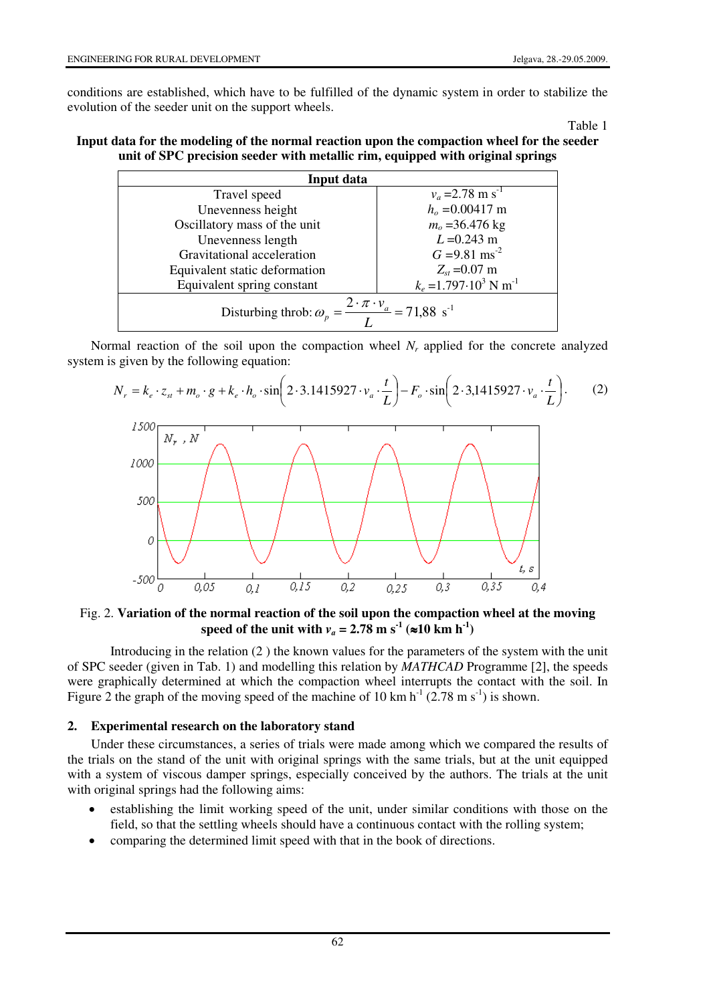t, s

0,4

0.35

 $0,3$ 

 $0.25$ 

conditions are established, which have to be fulfilled of the dynamic system in order to stabilize the evolution of the seeder unit on the support wheels.

Table 1

## **Input data for the modeling of the normal reaction upon the compaction wheel for the seeder unit of SPC precision seeder with metallic rim, equipped with original springs**

| Input data                                                                              |                                            |
|-----------------------------------------------------------------------------------------|--------------------------------------------|
| Travel speed                                                                            | $v_a = 2.78$ m s <sup>-1</sup>             |
| Unevenness height                                                                       | $ho = 0.00417$ m                           |
| Oscillatory mass of the unit                                                            | $m_o = 36.476$ kg                          |
| Unevenness length                                                                       | $L = 0.243$ m                              |
| Gravitational acceleration                                                              | $G = 9.81$ ms <sup>-2</sup>                |
| Equivalent static deformation                                                           | $Z_{st}$ =0.07 m                           |
| Equivalent spring constant                                                              | $k_e = 1.797 \cdot 10^3$ N m <sup>-1</sup> |
| Disturbing throb: $\omega_p = \frac{2 \cdot \pi \cdot v_a}{\pi} = 71,88 \text{ s}^{-1}$ |                                            |

Normal reaction of the soil upon the compaction wheel  $N_r$  applied for the concrete analyzed system is given by the following equation:



# Fig. 2. **Variation of the normal reaction of the soil upon the compaction wheel at the moving**  speed of the unit with  $v_a = 2.78$  m s<sup>-1</sup> (≈10 km h<sup>-1</sup>)

 $0,2$ 

 $\overline{0.15}$ 

0.1

 Introducing in the relation (2 ) the known values for the parameters of the system with the unit of SPC seeder (given in Tab. 1) and modelling this relation by *MATHCAD* Programme [2], the speeds were graphically determined at which the compaction wheel interrupts the contact with the soil. In Figure 2 the graph of the moving speed of the machine of 10 km  $h^{-1}$  (2.78 m s<sup>-1</sup>) is shown.

# **2. Experimental research on the laboratory stand**

0.05

 $-500$ 

 $\theta$ 

Under these circumstances, a series of trials were made among which we compared the results of the trials on the stand of the unit with original springs with the same trials, but at the unit equipped with a system of viscous damper springs, especially conceived by the authors. The trials at the unit with original springs had the following aims:

- establishing the limit working speed of the unit, under similar conditions with those on the field, so that the settling wheels should have a continuous contact with the rolling system;
- comparing the determined limit speed with that in the book of directions.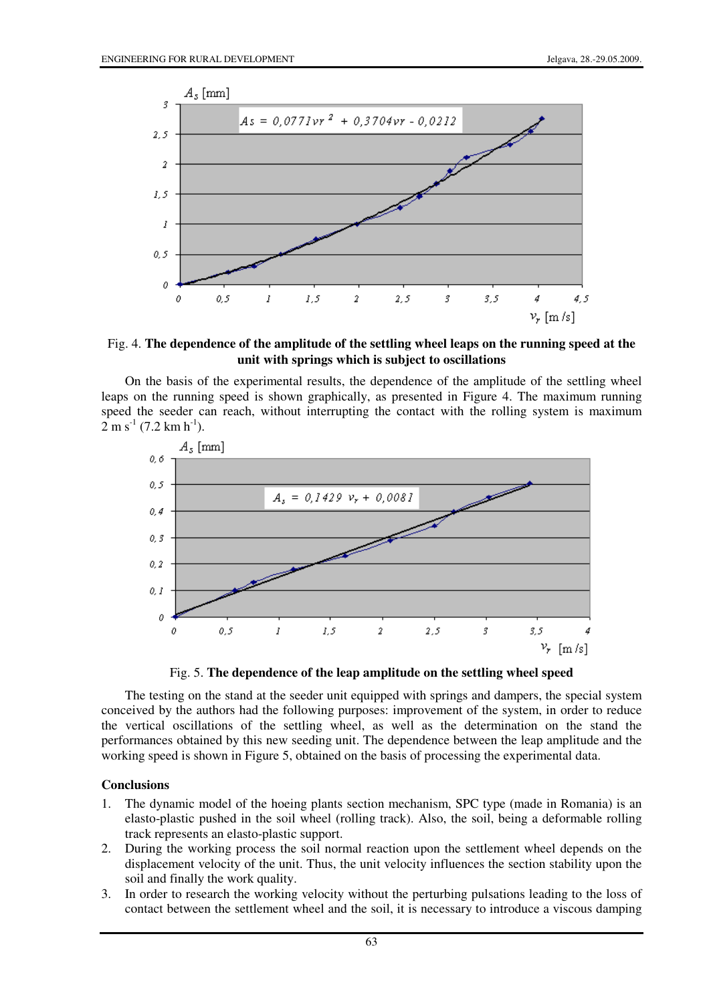

Fig. 4. **The dependence of the amplitude of the settling wheel leaps on the running speed at the unit with springs which is subject to oscillations** 

On the basis of the experimental results, the dependence of the amplitude of the settling wheel leaps on the running speed is shown graphically, as presented in Figure 4. The maximum running speed the seeder can reach, without interrupting the contact with the rolling system is maximum  $2 \text{ m s}^{-1}$  (7.2 km h<sup>-1</sup>).



Fig. 5. **The dependence of the leap amplitude on the settling wheel speed** 

The testing on the stand at the seeder unit equipped with springs and dampers, the special system conceived by the authors had the following purposes: improvement of the system, in order to reduce the vertical oscillations of the settling wheel, as well as the determination on the stand the performances obtained by this new seeding unit. The dependence between the leap amplitude and the working speed is shown in Figure 5, obtained on the basis of processing the experimental data.

#### **Conclusions**

- 1. The dynamic model of the hoeing plants section mechanism, SPC type (made in Romania) is an elasto-plastic pushed in the soil wheel (rolling track). Also, the soil, being a deformable rolling track represents an elasto-plastic support.
- 2. During the working process the soil normal reaction upon the settlement wheel depends on the displacement velocity of the unit. Thus, the unit velocity influences the section stability upon the soil and finally the work quality.
- 3. In order to research the working velocity without the perturbing pulsations leading to the loss of contact between the settlement wheel and the soil, it is necessary to introduce a viscous damping